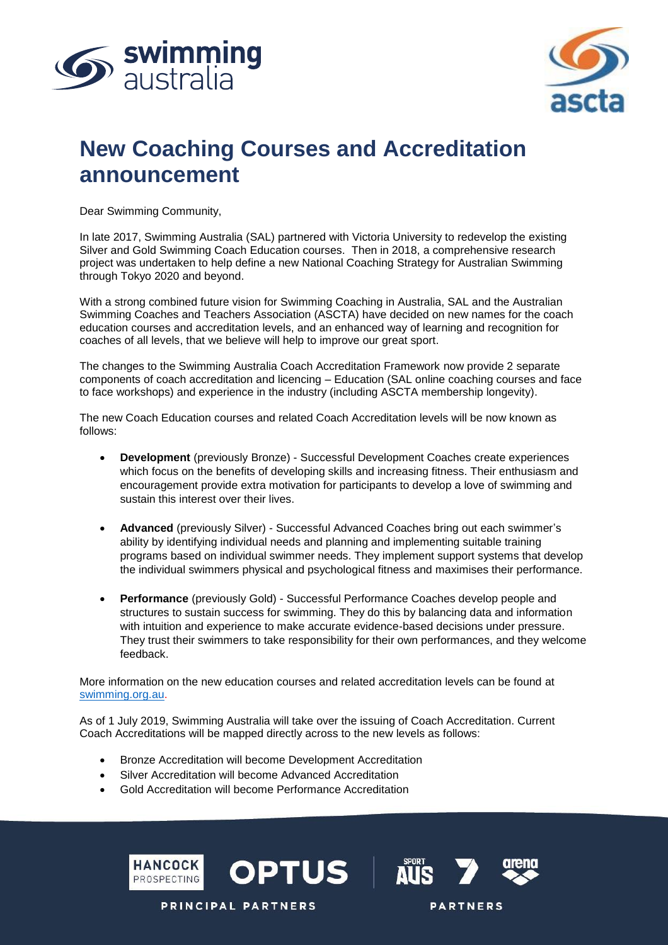



# **New Coaching Courses and Accreditation announcement**

Dear Swimming Community,

In late 2017, Swimming Australia (SAL) partnered with Victoria University to redevelop the existing Silver and Gold Swimming Coach Education courses. Then in 2018, a comprehensive research project was undertaken to help define a new National Coaching Strategy for Australian Swimming through Tokyo 2020 and beyond.

With a strong combined future vision for Swimming Coaching in Australia, SAL and the Australian Swimming Coaches and Teachers Association (ASCTA) have decided on new names for the coach education courses and accreditation levels, and an enhanced way of learning and recognition for coaches of all levels, that we believe will help to improve our great sport.

The changes to the Swimming Australia Coach Accreditation Framework now provide 2 separate components of coach accreditation and licencing – Education (SAL online coaching courses and face to face workshops) and experience in the industry (including ASCTA membership longevity).

The new Coach Education courses and related Coach Accreditation levels will be now known as follows:

- **Development** (previously Bronze) Successful Development Coaches create experiences which focus on the benefits of developing skills and increasing fitness. Their enthusiasm and encouragement provide extra motivation for participants to develop a love of swimming and sustain this interest over their lives.
- **Advanced** (previously Silver) Successful Advanced Coaches bring out each swimmer's ability by identifying individual needs and planning and implementing suitable training programs based on individual swimmer needs. They implement support systems that develop the individual swimmers physical and psychological fitness and maximises their performance.
- **Performance** (previously Gold) Successful Performance Coaches develop people and structures to sustain success for swimming. They do this by balancing data and information with intuition and experience to make accurate evidence-based decisions under pressure. They trust their swimmers to take responsibility for their own performances, and they welcome feedback.

More information on the new education courses and related accreditation levels can be found at [swimming.org.au.](https://www.swimming.org.au/community-1/coaches/coach-education)

As of 1 July 2019, Swimming Australia will take over the issuing of Coach Accreditation. Current Coach Accreditations will be mapped directly across to the new levels as follows:

- Bronze Accreditation will become Development Accreditation
- Silver Accreditation will become Advanced Accreditation

**PRINCIPAL PARTNERS** 

• Gold Accreditation will become Performance Accreditation





**PARTNERS**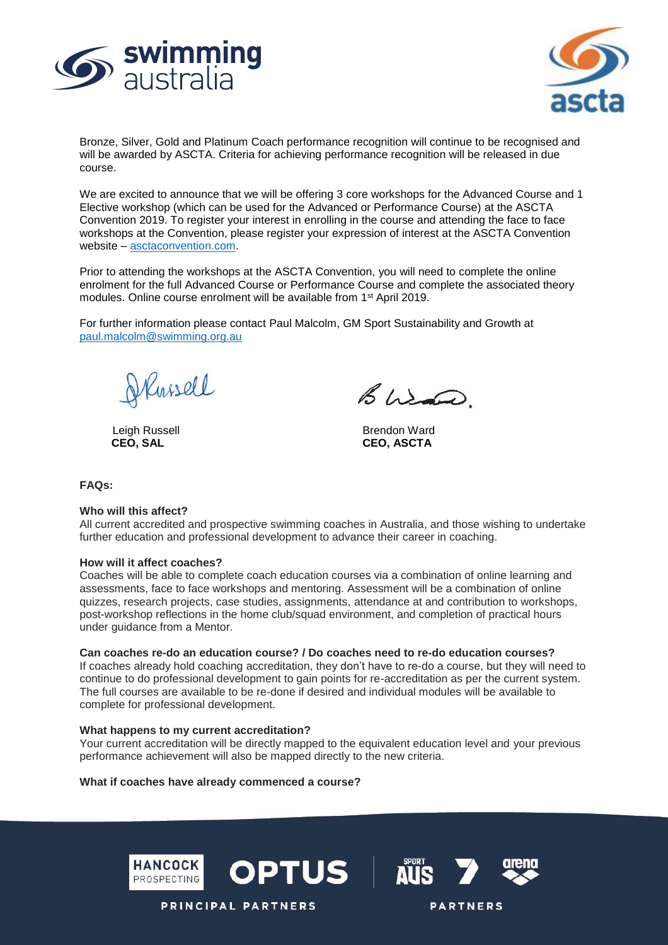



Bronze, Silver, Gold and Platinum Coach performance recognition will continue to be recognised and will be awarded by ASCTA. Criteria for achieving performance recognition will be released in due course.

We are excited to announce that we will be offering 3 core workshops for the Advanced Course and 1 Elective workshop (which can be used for the Advanced or Performance Course) at the ASCTA Convention 2019. To register your interest in enrolling in the course and attending the face to face workshops at the Convention, please register your expression of interest at the ASCTA Convention website – [asctaconvention.com.](https://asctaconvention.ascta.com/)

Prior to attending the workshops at the ASCTA Convention, you will need to complete the online enrolment for the full Advanced Course or Performance Course and complete the associated theory modules. Online course enrolment will be available from 1<sup>st</sup> April 2019.

For further information please contact Paul Malcolm, GM Sport Sustainability and Growth at [paul.malcolm@swimming.org.au](mailto:paul.malcolm@swimming.org.au)

Kussell

Bura

Leigh Russell and Brendon Ward CEO, SAL and Brendon Ward CEO, ASCTA **CEO, SAL CEO, ASCTA**

**FAQs:**

#### **Who will this affect?**

All current accredited and prospective swimming coaches in Australia, and those wishing to undertake further education and professional development to advance their career in coaching.

#### **How will it affect coaches?**

Coaches will be able to complete coach education courses via a combination of online learning and assessments, face to face workshops and mentoring. Assessment will be a combination of online quizzes, research projects, case studies, assignments, attendance at and contribution to workshops, post-workshop reflections in the home club/squad environment, and completion of practical hours under guidance from a Mentor.

#### **Can coaches re-do an education course? / Do coaches need to re-do education courses?**

If coaches already hold coaching accreditation, they don't have to re-do a course, but they will need to continue to do professional development to gain points for re-accreditation as per the current system. The full courses are available to be re-done if desired and individual modules will be available to complete for professional development.

#### **What happens to my current accreditation?**

Your current accreditation will be directly mapped to the equivalent education level and your previous performance achievement will also be mapped directly to the new criteria.

**OPTUS** 

#### **What if coaches have already commenced a course?**







**PRINCIPAL PARTNERS**